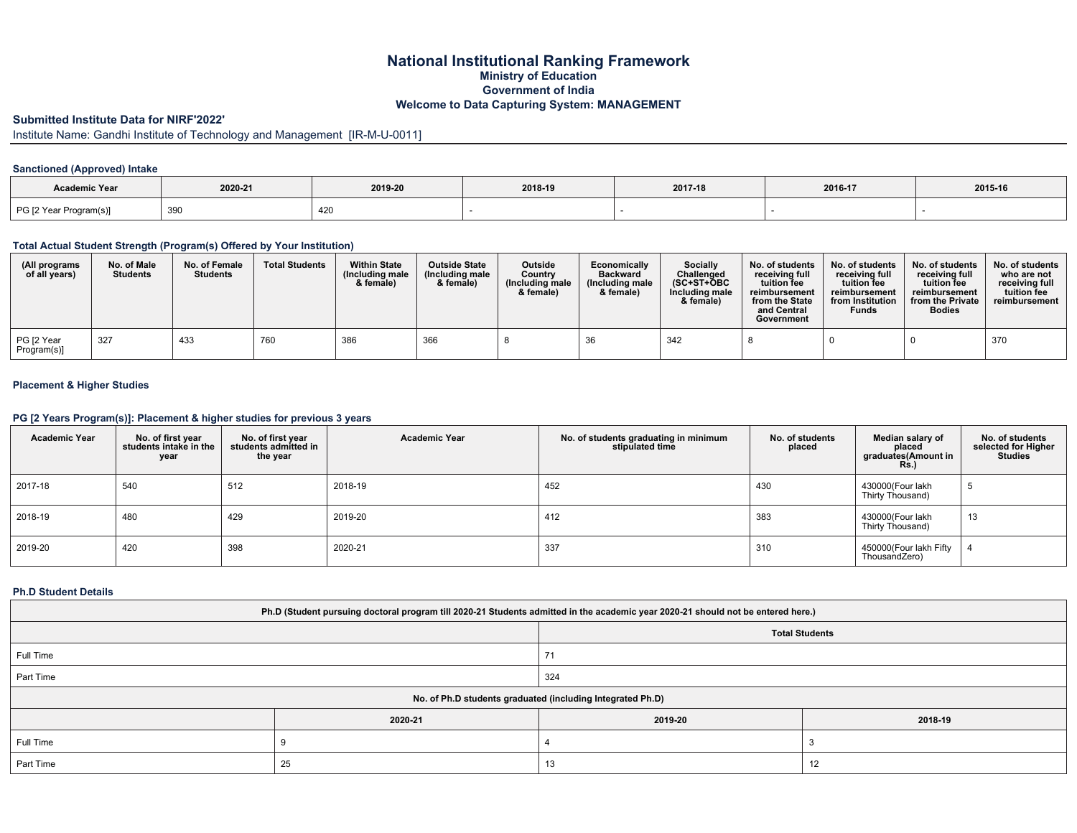## **National Institutional Ranking Framework Ministry of Education Government of India Welcome to Data Capturing System: MANAGEMENT**

## **Submitted Institute Data for NIRF'2022'**

Institute Name: Gandhi Institute of Technology and Management [IR-M-U-0011]

### **Sanctioned (Approved) Intake**

| <b>Academic Year</b>   | 2020-21 | 2019-20 | 2018-19 | 2017-18 | 2016-17 | 2015-16 |
|------------------------|---------|---------|---------|---------|---------|---------|
| PG [2 Year Program(s)] | 390     | 420     |         |         |         |         |

### **Total Actual Student Strength (Program(s) Offered by Your Institution)**

| (All programs<br>of all years) | No. of Male<br><b>Students</b> | No. of Female<br><b>Students</b> | <b>Total Students</b> | <b>Within State</b><br>(Including male<br>& female) | <b>Outside State</b><br>(Including male<br>& female) | Outside<br>Country<br>(Including male<br>& female) | Economically<br><b>Backward</b><br>(Including male<br>& female) | Socially<br>Challenged<br>(SC+ST+OBC<br>Including male<br>& female) | No. of students<br>receiving full<br>tuition fee<br>reimbursement<br>from the State<br>and Central<br>Government | No. of students<br>receiving full<br>tuition fee<br>reimbursement<br>from Institution<br><b>Funds</b> | No. of students<br>receiving full<br>tuition fee<br>reimbursement<br>from the Private<br><b>Bodies</b> | No. of students<br>who are not<br>receiving full<br>tuition fee<br>reimbursement |
|--------------------------------|--------------------------------|----------------------------------|-----------------------|-----------------------------------------------------|------------------------------------------------------|----------------------------------------------------|-----------------------------------------------------------------|---------------------------------------------------------------------|------------------------------------------------------------------------------------------------------------------|-------------------------------------------------------------------------------------------------------|--------------------------------------------------------------------------------------------------------|----------------------------------------------------------------------------------|
| PG [2 Year<br>Program(s)]      | 327                            | 433                              | 760                   | 386                                                 | 366                                                  |                                                    |                                                                 | 342                                                                 |                                                                                                                  |                                                                                                       |                                                                                                        | 370                                                                              |

### **Placement & Higher Studies**

#### **PG [2 Years Program(s)]: Placement & higher studies for previous 3 years**

| <b>Academic Year</b> | No. of first year<br>students intake in the<br>year | No. of first year<br>students admitted in<br>the year | <b>Academic Year</b> | No. of students graduating in minimum<br>stipulated time | No. of students<br>placed | Median salary of<br>placed<br>graduates(Amount in<br>$Rs.$ ) | No. of students<br>selected for Higher<br>Studies |
|----------------------|-----------------------------------------------------|-------------------------------------------------------|----------------------|----------------------------------------------------------|---------------------------|--------------------------------------------------------------|---------------------------------------------------|
| 2017-18              | 540                                                 | 512                                                   | 2018-19              | 452                                                      | 430                       | 430000(Four lakh<br>Thirty Thousand)                         | ິວ                                                |
| 2018-19              | 480                                                 | 429                                                   | 2019-20              | 412                                                      | 383                       | 430000(Four lakh<br>Thirty Thousand)                         | 13                                                |
| 2019-20              | 420                                                 | 398                                                   | 2020-21              | 337                                                      | 310                       | 450000(Four lakh Fifty<br>ThousandZero)                      |                                                   |

### **Ph.D Student Details**

| Ph.D (Student pursuing doctoral program till 2020-21 Students admitted in the academic year 2020-21 should not be entered here.) |         |                                                            |         |  |  |  |  |
|----------------------------------------------------------------------------------------------------------------------------------|---------|------------------------------------------------------------|---------|--|--|--|--|
| <b>Total Students</b>                                                                                                            |         |                                                            |         |  |  |  |  |
| Full Time                                                                                                                        |         | 71                                                         |         |  |  |  |  |
| Part Time                                                                                                                        |         | 324                                                        |         |  |  |  |  |
|                                                                                                                                  |         | No. of Ph.D students graduated (including Integrated Ph.D) |         |  |  |  |  |
|                                                                                                                                  | 2020-21 | 2019-20                                                    | 2018-19 |  |  |  |  |
| Full Time                                                                                                                        |         |                                                            |         |  |  |  |  |
| Part Time<br>25<br>13<br>12                                                                                                      |         |                                                            |         |  |  |  |  |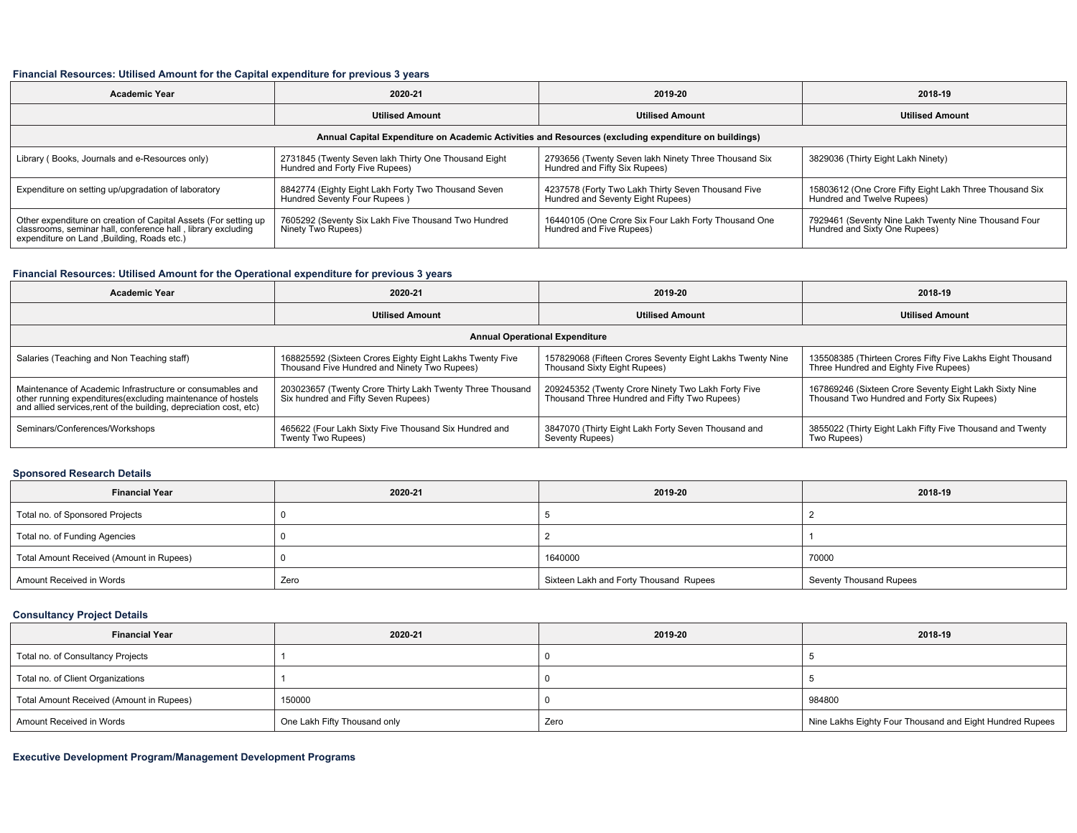## **Financial Resources: Utilised Amount for the Capital expenditure for previous 3 years**

| <b>Academic Year</b>                                                                                                                                                           | 2020-21                                                                                | 2019-20                                                                                 | 2018-19                                                                               |  |  |  |  |  |  |
|--------------------------------------------------------------------------------------------------------------------------------------------------------------------------------|----------------------------------------------------------------------------------------|-----------------------------------------------------------------------------------------|---------------------------------------------------------------------------------------|--|--|--|--|--|--|
|                                                                                                                                                                                | <b>Utilised Amount</b>                                                                 | <b>Utilised Amount</b>                                                                  | <b>Utilised Amount</b>                                                                |  |  |  |  |  |  |
| Annual Capital Expenditure on Academic Activities and Resources (excluding expenditure on buildings)                                                                           |                                                                                        |                                                                                         |                                                                                       |  |  |  |  |  |  |
| Library (Books, Journals and e-Resources only)                                                                                                                                 | 2731845 (Twenty Seven lakh Thirty One Thousand Eight<br>Hundred and Forty Five Rupees) | 2793656 (Twenty Seven lakh Ninety Three Thousand Six<br>Hundred and Fifty Six Rupees)   | 3829036 (Thirty Eight Lakh Ninety)                                                    |  |  |  |  |  |  |
| Expenditure on setting up/upgradation of laboratory                                                                                                                            | 8842774 (Eighty Eight Lakh Forty Two Thousand Seven<br>Hundred Seventy Four Rupees)    | 4237578 (Forty Two Lakh Thirty Seven Thousand Five<br>Hundred and Seventy Eight Rupees) | 15803612 (One Crore Fifty Eight Lakh Three Thousand Six<br>Hundred and Twelve Rupees) |  |  |  |  |  |  |
| Other expenditure on creation of Capital Assets (For setting up<br>classrooms, seminar hall, conference hall, library excluding<br>expenditure on Land , Building, Roads etc.) | 7605292 (Seventy Six Lakh Five Thousand Two Hundred<br>Ninety Two Rupees)              | 16440105 (One Crore Six Four Lakh Forty Thousand One<br>Hundred and Five Rupees)        | 7929461 (Seventy Nine Lakh Twenty Nine Thousand Four<br>Hundred and Sixty One Rupees) |  |  |  |  |  |  |

### **Financial Resources: Utilised Amount for the Operational expenditure for previous 3 years**

| <b>Academic Year</b>                                                                                                                                                                            | 2020-21                                                                                                  | 2019-20                                                                                            | 2018-19                                                                                              |  |  |  |  |  |
|-------------------------------------------------------------------------------------------------------------------------------------------------------------------------------------------------|----------------------------------------------------------------------------------------------------------|----------------------------------------------------------------------------------------------------|------------------------------------------------------------------------------------------------------|--|--|--|--|--|
|                                                                                                                                                                                                 | <b>Utilised Amount</b>                                                                                   |                                                                                                    | <b>Utilised Amount</b>                                                                               |  |  |  |  |  |
| <b>Annual Operational Expenditure</b>                                                                                                                                                           |                                                                                                          |                                                                                                    |                                                                                                      |  |  |  |  |  |
| Salaries (Teaching and Non Teaching staff)                                                                                                                                                      | 168825592 (Sixteen Crores Eighty Eight Lakhs Twenty Five<br>Thousand Five Hundred and Ninety Two Rupees) | 157829068 (Fifteen Crores Seventy Eight Lakhs Twenty Nine<br>Thousand Sixty Eight Rupees)          | 135508385 (Thirteen Crores Fifty Five Lakhs Eight Thousand<br>Three Hundred and Eighty Five Rupees)  |  |  |  |  |  |
| Maintenance of Academic Infrastructure or consumables and<br>other running expenditures (excluding maintenance of hostels<br>and allied services, rent of the building, depreciation cost, etc) | 203023657 (Twenty Crore Thirty Lakh Twenty Three Thousand<br>Six hundred and Fifty Seven Rupees)         | 209245352 (Twenty Crore Ninety Two Lakh Forty Five<br>Thousand Three Hundred and Fifty Two Rupees) | 167869246 (Sixteen Crore Seventy Eight Lakh Sixty Nine<br>Thousand Two Hundred and Forty Six Rupees) |  |  |  |  |  |
| Seminars/Conferences/Workshops                                                                                                                                                                  | 465622 (Four Lakh Sixty Five Thousand Six Hundred and<br>Twenty Two Rupees)                              | 3847070 (Thirty Eight Lakh Forty Seven Thousand and<br>Seventy Rupees)                             | 3855022 (Thirty Eight Lakh Fifty Five Thousand and Twenty<br>Two Rupees)                             |  |  |  |  |  |

### **Sponsored Research Details**

| <b>Financial Year</b>                    | 2020-21 | 2019-20                                | 2018-19                        |
|------------------------------------------|---------|----------------------------------------|--------------------------------|
| Total no. of Sponsored Projects          |         |                                        |                                |
| Total no. of Funding Agencies            |         |                                        |                                |
| Total Amount Received (Amount in Rupees) |         | 1640000                                | 70000                          |
| Amount Received in Words                 | Zero    | Sixteen Lakh and Forty Thousand Rupees | <b>Seventy Thousand Rupees</b> |

### **Consultancy Project Details**

| <b>Financial Year</b>                    | 2020-21                      | 2019-20 | 2018-19                                                  |  |
|------------------------------------------|------------------------------|---------|----------------------------------------------------------|--|
| Total no. of Consultancy Projects        |                              |         |                                                          |  |
| Total no. of Client Organizations        |                              |         |                                                          |  |
| Total Amount Received (Amount in Rupees) | 150000                       |         | 984800                                                   |  |
| Amount Received in Words                 | One Lakh Fifty Thousand only | Zero    | Nine Lakhs Eighty Four Thousand and Eight Hundred Rupees |  |

**Executive Development Program/Management Development Programs**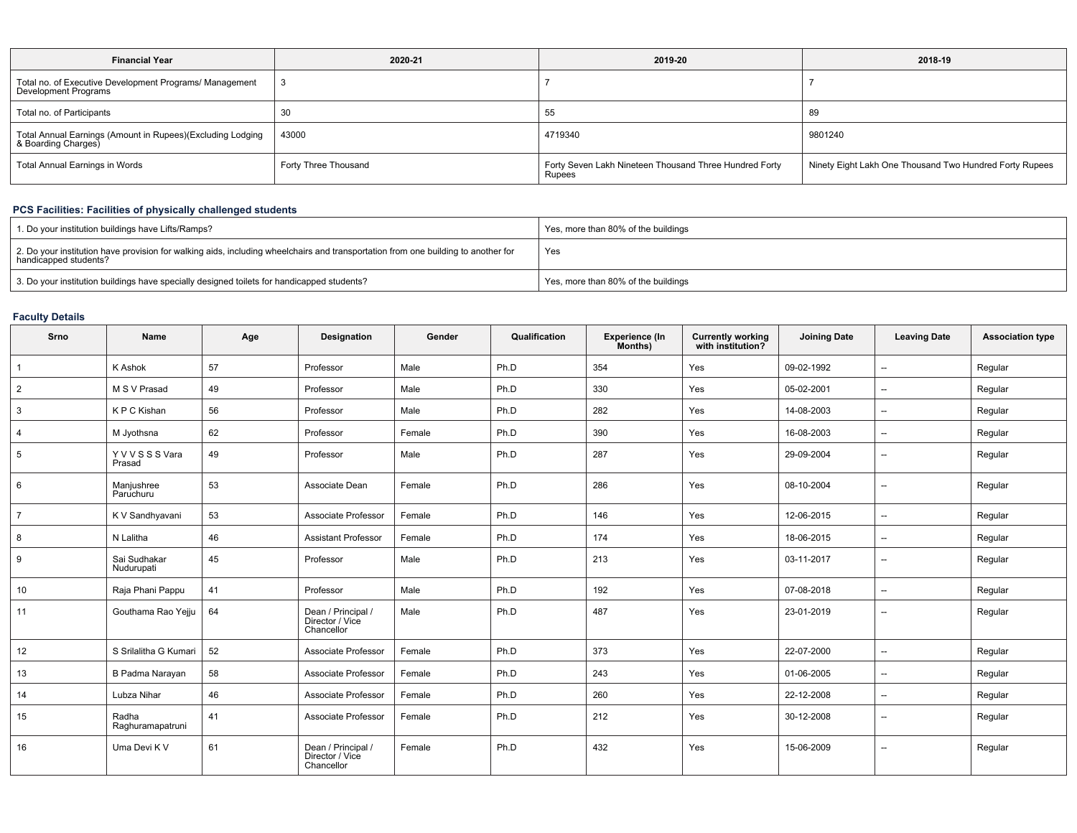| <b>Financial Year</b>                                                                  | 2020-21              | 2019-20                                                          | 2018-19                                                 |  |
|----------------------------------------------------------------------------------------|----------------------|------------------------------------------------------------------|---------------------------------------------------------|--|
| Total no. of Executive Development Programs/ Management<br><b>Development Programs</b> |                      |                                                                  |                                                         |  |
| Total no. of Participants                                                              | 30                   | 55                                                               | 89                                                      |  |
| Total Annual Earnings (Amount in Rupees)(Excluding Lodging<br>& Boarding Charges)      | 43000                | 4719340                                                          | 9801240                                                 |  |
| Total Annual Earnings in Words                                                         | Forty Three Thousand | Forty Seven Lakh Nineteen Thousand Three Hundred Forty<br>Rupees | Ninety Eight Lakh One Thousand Two Hundred Forty Rupees |  |

# **PCS Facilities: Facilities of physically challenged students**

| 1. Do your institution buildings have Lifts/Ramps?                                                                                                         | Yes, more than 80% of the buildings |
|------------------------------------------------------------------------------------------------------------------------------------------------------------|-------------------------------------|
| 2. Do your institution have provision for walking aids, including wheelchairs and transportation from one building to another for<br>handicapped students? | Yes                                 |
| 3. Do your institution buildings have specially designed toilets for handicapped students?                                                                 | Yes, more than 80% of the buildings |

# **Faculty Details**

| Srno           | <b>Name</b>                 | Age | Designation                                         | Gender | Qualification | <b>Experience (In</b><br>Months) | <b>Currently working</b><br>with institution? | <b>Joining Date</b> | <b>Leaving Date</b>      | <b>Association type</b> |
|----------------|-----------------------------|-----|-----------------------------------------------------|--------|---------------|----------------------------------|-----------------------------------------------|---------------------|--------------------------|-------------------------|
| $\overline{1}$ | K Ashok                     | 57  | Professor                                           | Male   | Ph.D          | 354                              | Yes                                           | 09-02-1992          | $\overline{\phantom{a}}$ | Regular                 |
| $\overline{2}$ | M S V Prasad                | 49  | Professor                                           | Male   | Ph.D          | 330                              | Yes                                           | 05-02-2001          | $\overline{\phantom{a}}$ | Regular                 |
| 3              | K P C Kishan                | 56  | Professor                                           | Male   | Ph.D          | 282                              | Yes                                           | 14-08-2003          | $\overline{\phantom{a}}$ | Regular                 |
| $\overline{4}$ | M Jyothsna                  | 62  | Professor                                           | Female | Ph.D          | 390                              | Yes                                           | 16-08-2003          | $\overline{\phantom{a}}$ | Regular                 |
| 5              | <b>YVVSSSVara</b><br>Prasad | 49  | Professor                                           | Male   | Ph.D          | 287                              | Yes                                           | 29-09-2004          | $\overline{\phantom{a}}$ | Regular                 |
| 6              | Manjushree<br>Paruchuru     | 53  | Associate Dean                                      | Female | Ph.D          | 286                              | Yes                                           | 08-10-2004          | $\overline{\phantom{a}}$ | Regular                 |
| $\overline{7}$ | K V Sandhyavani             | 53  | Associate Professor                                 | Female | Ph.D          | 146                              | Yes                                           | 12-06-2015          | --                       | Regular                 |
| 8              | N Lalitha                   | 46  | <b>Assistant Professor</b>                          | Female | Ph.D          | 174                              | Yes                                           | 18-06-2015          | $\overline{\phantom{a}}$ | Regular                 |
| 9              | Sai Sudhakar<br>Nudurupati  | 45  | Professor                                           | Male   | Ph.D          | 213                              | Yes                                           | 03-11-2017          | $\overline{\phantom{a}}$ | Regular                 |
| 10             | Raja Phani Pappu            | 41  | Professor                                           | Male   | Ph.D          | 192                              | Yes                                           | 07-08-2018          | $\overline{\phantom{a}}$ | Regular                 |
| 11             | Gouthama Rao Yejju          | 64  | Dean / Principal /<br>Director / Vice<br>Chancellor | Male   | Ph.D          | 487                              | Yes                                           | 23-01-2019          | $\overline{\phantom{a}}$ | Regular                 |
| 12             | S Srilalitha G Kumari       | 52  | Associate Professor                                 | Female | Ph.D          | 373                              | Yes                                           | 22-07-2000          | $\overline{\phantom{a}}$ | Regular                 |
| 13             | B Padma Narayan             | 58  | Associate Professor                                 | Female | Ph.D          | 243                              | Yes                                           | 01-06-2005          | $\overline{\phantom{a}}$ | Regular                 |
| 14             | Lubza Nihar                 | 46  | Associate Professor                                 | Female | Ph.D          | 260                              | Yes                                           | 22-12-2008          | $\overline{\phantom{a}}$ | Regular                 |
| 15             | Radha<br>Raghuramapatruni   | 41  | Associate Professor                                 | Female | Ph.D          | 212                              | Yes                                           | 30-12-2008          | --                       | Regular                 |
| 16             | Uma Devi K V                | 61  | Dean / Principal /<br>Director / Vice<br>Chancellor | Female | Ph.D          | 432                              | Yes                                           | 15-06-2009          | $\overline{\phantom{a}}$ | Regular                 |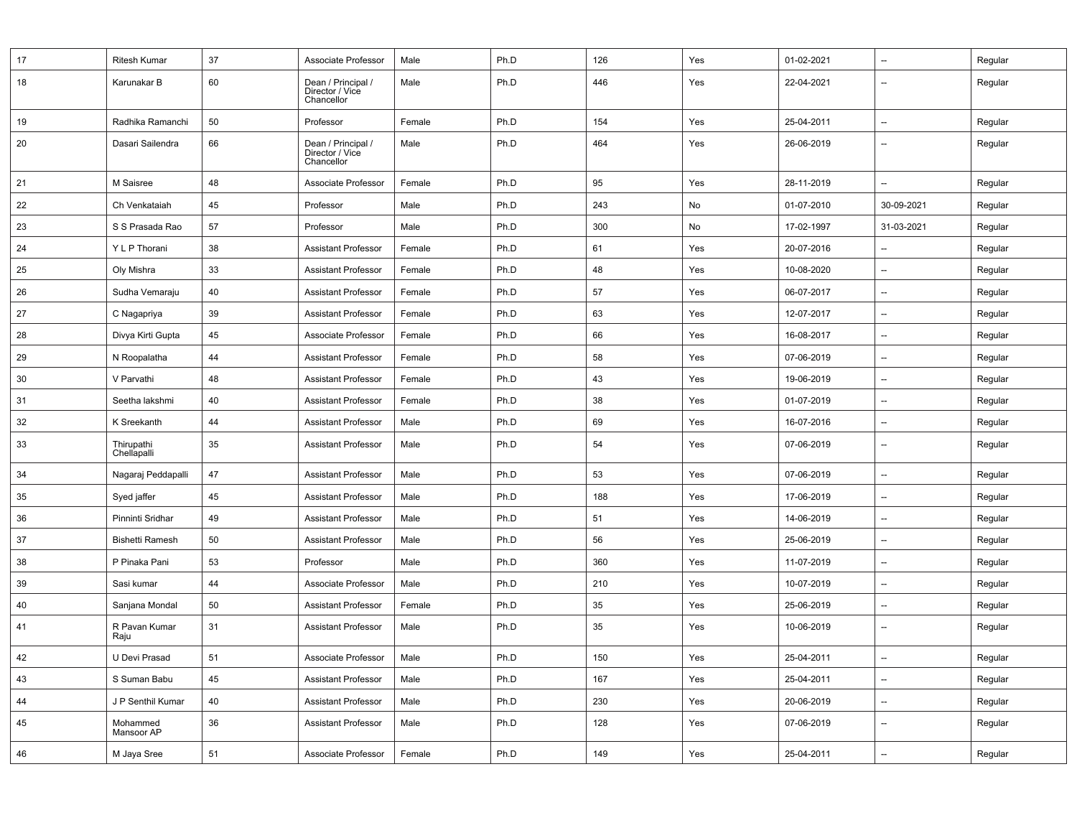| 17 | <b>Ritesh Kumar</b>       | 37 | Associate Professor                                 | Male   | Ph.D | 126 | Yes | 01-02-2021 | $\overline{\phantom{a}}$ | Regular |
|----|---------------------------|----|-----------------------------------------------------|--------|------|-----|-----|------------|--------------------------|---------|
| 18 | Karunakar B               | 60 | Dean / Principal /<br>Director / Vice<br>Chancellor | Male   | Ph.D | 446 | Yes | 22-04-2021 |                          | Regular |
| 19 | Radhika Ramanchi          | 50 | Professor                                           | Female | Ph.D | 154 | Yes | 25-04-2011 | $\overline{\phantom{a}}$ | Regular |
| 20 | Dasari Sailendra          | 66 | Dean / Principal /<br>Director / Vice<br>Chancellor | Male   | Ph.D | 464 | Yes | 26-06-2019 |                          | Regular |
| 21 | M Saisree                 | 48 | Associate Professor                                 | Female | Ph.D | 95  | Yes | 28-11-2019 | $\overline{\phantom{a}}$ | Regular |
| 22 | Ch Venkataiah             | 45 | Professor                                           | Male   | Ph.D | 243 | No  | 01-07-2010 | 30-09-2021               | Regular |
| 23 | S S Prasada Rao           | 57 | Professor                                           | Male   | Ph.D | 300 | No  | 17-02-1997 | 31-03-2021               | Regular |
| 24 | Y L P Thorani             | 38 | <b>Assistant Professor</b>                          | Female | Ph.D | 61  | Yes | 20-07-2016 | $\overline{\phantom{a}}$ | Regular |
| 25 | Oly Mishra                | 33 | <b>Assistant Professor</b>                          | Female | Ph.D | 48  | Yes | 10-08-2020 |                          | Regular |
| 26 | Sudha Vemaraju            | 40 | <b>Assistant Professor</b>                          | Female | Ph.D | 57  | Yes | 06-07-2017 | $\overline{\phantom{a}}$ | Regular |
| 27 | C Nagapriya               | 39 | <b>Assistant Professor</b>                          | Female | Ph.D | 63  | Yes | 12-07-2017 | $\overline{\phantom{a}}$ | Regular |
| 28 | Divya Kirti Gupta         | 45 | Associate Professor                                 | Female | Ph.D | 66  | Yes | 16-08-2017 | $\overline{a}$           | Regular |
| 29 | N Roopalatha              | 44 | <b>Assistant Professor</b>                          | Female | Ph.D | 58  | Yes | 07-06-2019 | $\overline{\phantom{a}}$ | Regular |
| 30 | V Parvathi                | 48 | <b>Assistant Professor</b>                          | Female | Ph.D | 43  | Yes | 19-06-2019 | $\overline{\phantom{a}}$ | Regular |
| 31 | Seetha lakshmi            | 40 | <b>Assistant Professor</b>                          | Female | Ph.D | 38  | Yes | 01-07-2019 | Ξ.                       | Regular |
| 32 | K Sreekanth               | 44 | <b>Assistant Professor</b>                          | Male   | Ph.D | 69  | Yes | 16-07-2016 | $\overline{\phantom{a}}$ | Regular |
| 33 | Thirupathi<br>Chellapalli | 35 | <b>Assistant Professor</b>                          | Male   | Ph.D | 54  | Yes | 07-06-2019 | $\overline{\phantom{a}}$ | Regular |
| 34 | Nagaraj Peddapalli        | 47 | <b>Assistant Professor</b>                          | Male   | Ph.D | 53  | Yes | 07-06-2019 | $\overline{\phantom{a}}$ | Regular |
| 35 | Syed jaffer               | 45 | <b>Assistant Professor</b>                          | Male   | Ph.D | 188 | Yes | 17-06-2019 | $\overline{a}$           | Regular |
| 36 | Pinninti Sridhar          | 49 | <b>Assistant Professor</b>                          | Male   | Ph.D | 51  | Yes | 14-06-2019 | $\overline{\phantom{a}}$ | Regular |
| 37 | <b>Bishetti Ramesh</b>    | 50 | <b>Assistant Professor</b>                          | Male   | Ph.D | 56  | Yes | 25-06-2019 | $\overline{\phantom{a}}$ | Regular |
| 38 | P Pinaka Pani             | 53 | Professor                                           | Male   | Ph.D | 360 | Yes | 11-07-2019 | $\overline{\phantom{a}}$ | Regular |
| 39 | Sasi kumar                | 44 | Associate Professor                                 | Male   | Ph.D | 210 | Yes | 10-07-2019 | Ξ.                       | Regular |
| 40 | Sanjana Mondal            | 50 | <b>Assistant Professor</b>                          | Female | Ph.D | 35  | Yes | 25-06-2019 | --                       | Regular |
| 41 | R Pavan Kumar<br>Raju     | 31 | <b>Assistant Professor</b>                          | Male   | Ph.D | 35  | Yes | 10-06-2019 |                          | Regular |
| 42 | U Devi Prasad             | 51 | Associate Professor                                 | Male   | Ph.D | 150 | Yes | 25-04-2011 |                          | Regular |
| 43 | S Suman Babu              | 45 | <b>Assistant Professor</b>                          | Male   | Ph.D | 167 | Yes | 25-04-2011 | $\sim$                   | Regular |
| 44 | J P Senthil Kumar         | 40 | <b>Assistant Professor</b>                          | Male   | Ph.D | 230 | Yes | 20-06-2019 | $\overline{\phantom{a}}$ | Regular |
| 45 | Mohammed<br>Mansoor AP    | 36 | Assistant Professor                                 | Male   | Ph.D | 128 | Yes | 07-06-2019 | $\overline{\phantom{a}}$ | Regular |
| 46 | M Jaya Sree               | 51 | Associate Professor                                 | Female | Ph.D | 149 | Yes | 25-04-2011 | $\overline{\phantom{a}}$ | Regular |